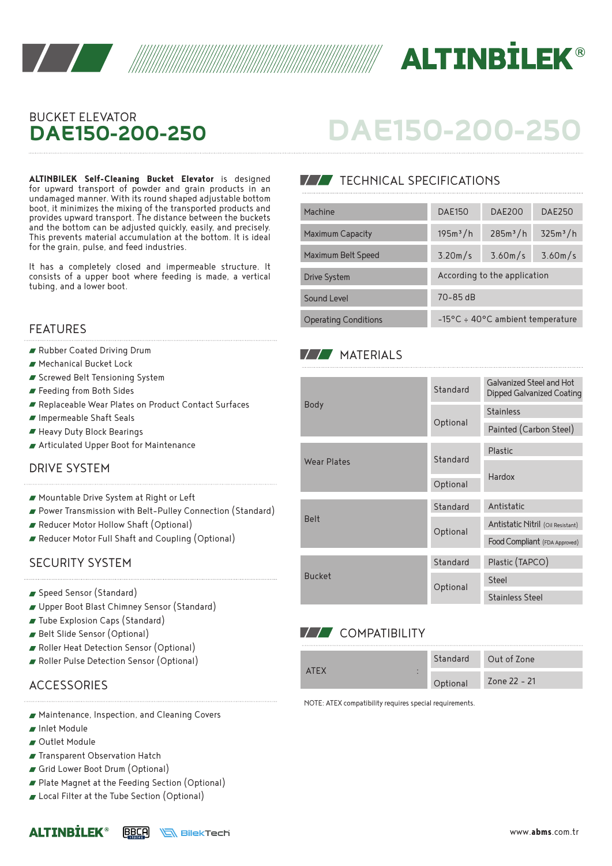



# BUCKET ELEVATOR **DAE150-200-250**

**ALTINBILEK Self-Cleaning Bucket Elevator** is designed for upward transport of powder and grain products in an undamaged manner. With its round shaped adjustable bottom boot, it minimizes the mixing of the transported products and provides upward transport. The distance between the buckets and the bottom can be adjusted quickly, easily, and precisely. This prevents material accumulation at the bottom. It is ideal for the grain, pulse, and feed industries.

It has a completely closed and impermeable structure. It consists of a upper boot where feeding is made, a vertical tubing, and a lower boot.

#### FEATURES

- Rubber Coated Driving Drum
- Mechanical Bucket Lock
- Screwed Belt Tensioning System
- Feeding from Both Sides
- Replaceable Wear Plates on Product Contact Surfaces
- Impermeable Shaft Seals
- Heavy Duty Block Bearings
- Articulated Upper Boot for Maintenance

#### DRIVE SYSTEM

- Mountable Drive System at Right or Left
- Power Transmission with Belt-Pulley Connection (Standard)
- Reducer Motor Hollow Shaft (Optional)
- Reducer Motor Full Shaft and Coupling (Optional)

#### SECURITY SYSTEM

- Speed Sensor (Standard)
- Upper Boot Blast Chimney Sensor (Standard)
- Tube Explosion Caps (Standard)
- Belt Slide Sensor (Optional)
- Roller Heat Detection Sensor (Optional)
- Roller Pulse Detection Sensor (Optional)

## **ACCESSORIES**

- Maintenance, Inspection, and Cleaning Covers
- Inlet Module
- Outlet Module

**ALTINRTLFK®** 

- **Transparent Observation Hatch**
- Grid Lower Boot Drum (Optional)
- Plate Magnet at the Feeding Section (Optional)
- Local Filter at the Tube Section (Optional)

# **DAE150-200-250**

# **TECHNICAL SPECIFICATIONS**

| Machine                     | <b>DAE150</b>                              | <b>DAE200</b>        | <b>DAE250</b>        |  |  |
|-----------------------------|--------------------------------------------|----------------------|----------------------|--|--|
| <b>Maximum Capacity</b>     | 195m <sup>3</sup> /h                       | 285m <sup>3</sup> /h | 325m <sup>3</sup> /h |  |  |
| Maximum Belt Speed          | 3.20m/s                                    | 3.60m/s              | 3.60m/s              |  |  |
| Drive System                | According to the application               |                      |                      |  |  |
| Sound Level                 | $70 - 85$ dB                               |                      |                      |  |  |
| <b>Operating Conditions</b> | $-15^{\circ}$ C ÷ 40°C ambient temperature |                      |                      |  |  |

### **MATERIALS**

| <b>Body</b>        | Standard | Galvanized Steel and Hot<br>Dipped Galvanized Coating |  |
|--------------------|----------|-------------------------------------------------------|--|
|                    |          | <b>Stainless</b>                                      |  |
|                    | Optional | Painted (Carbon Steel)                                |  |
| <b>Wear Plates</b> | Standard | Plastic                                               |  |
|                    |          | Hardox                                                |  |
|                    | Optional |                                                       |  |
| <b>Belt</b>        | Standard | Antistatic                                            |  |
|                    | Optional | Antistatic Nitril (Oil Resistant)                     |  |
|                    |          | Food Compliant (FDA Approved)                         |  |
| <b>Bucket</b>      | Standard | Plastic (TAPCO)                                       |  |
|                    | Optional | Steel                                                 |  |
|                    |          | <b>Stainless Steel</b>                                |  |

# **V/V** COMPATIBILITY

| <b>ATFY</b> | Standard | Out of Zone  |
|-------------|----------|--------------|
|             | Optional | Zone 22 - 21 |

NOTE: ATEX compatibility requires special requirements.